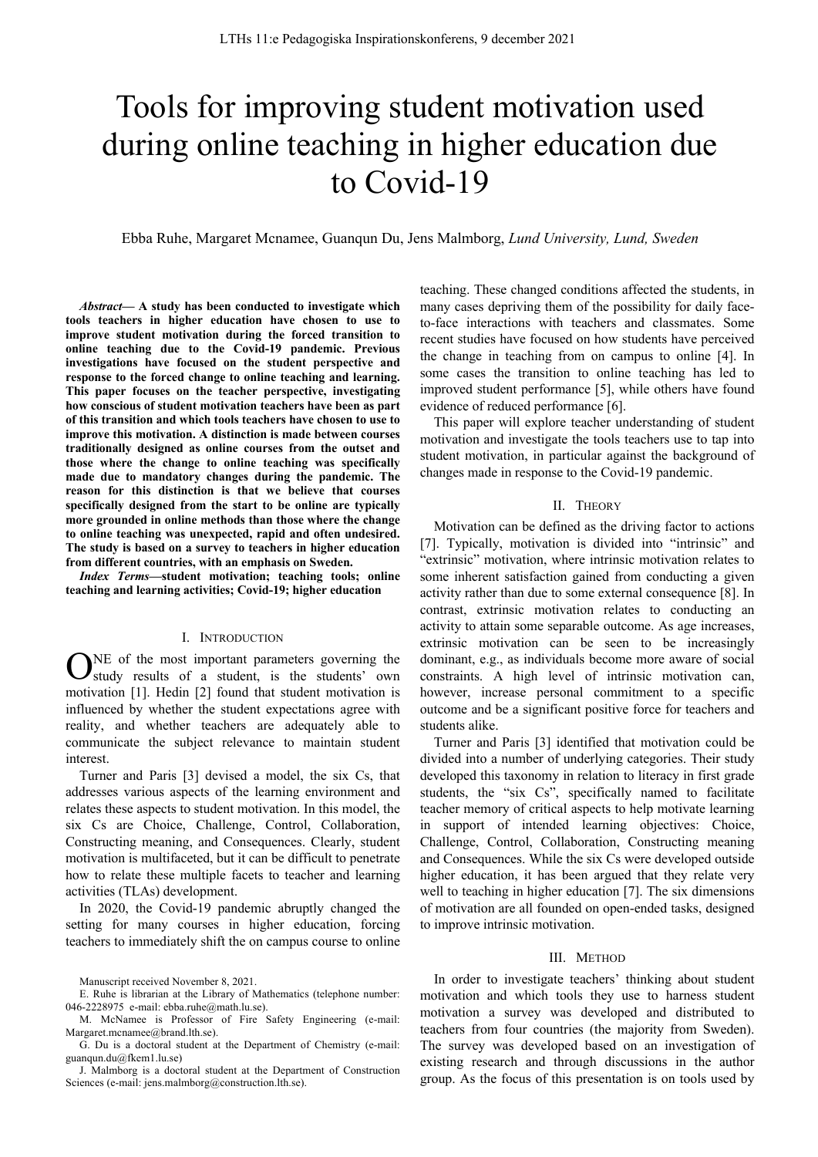# Tools for improving student motivation used during online teaching in higher education due to Covid-19

Ebba Ruhe, Margaret Mcnamee, Guanqun Du, Jens Malmborg, *Lund University, Lund, Sweden*

*Abstract***— A study has been conducted to investigate which tools teachers in higher education have chosen to use to improve student motivation during the forced transition to online teaching due to the Covid-19 pandemic. Previous investigations have focused on the student perspective and response to the forced change to online teaching and learning. This paper focuses on the teacher perspective, investigating how conscious of student motivation teachers have been as part of this transition and which tools teachers have chosen to use to improve this motivation. A distinction is made between courses traditionally designed as online courses from the outset and those where the change to online teaching was specifically made due to mandatory changes during the pandemic. The reason for this distinction is that we believe that courses specifically designed from the start to be online are typically more grounded in online methods than those where the change to online teaching was unexpected, rapid and often undesired. The study is based on a survey to teachers in higher education from different countries, with an emphasis on Sweden.**

*Index Terms***—student motivation; teaching tools; online teaching and learning activities; Covid-19; higher education**

#### I. INTRODUCTION

NE of the most important parameters governing the ONE of the most important parameters governing the study results of a student, is the students' own motivation [1]. Hedin [2] found that student motivation is influenced by whether the student expectations agree with reality, and whether teachers are adequately able to communicate the subject relevance to maintain student interest.

Turner and Paris [3] devised a model, the six Cs, that addresses various aspects of the learning environment and relates these aspects to student motivation. In this model, the six Cs are Choice, Challenge, Control, Collaboration, Constructing meaning, and Consequences. Clearly, student motivation is multifaceted, but it can be difficult to penetrate how to relate these multiple facets to teacher and learning activities (TLAs) development.

In 2020, the Covid-19 pandemic abruptly changed the setting for many courses in higher education, forcing teachers to immediately shift the on campus course to online

J. Malmborg is a doctoral student at the Department of Construction Sciences (e-mail: jens.malmborg@construction.lth.se).

teaching. These changed conditions affected the students, in many cases depriving them of the possibility for daily faceto-face interactions with teachers and classmates. Some recent studies have focused on how students have perceived the change in teaching from on campus to online [4]. In some cases the transition to online teaching has led to improved student performance [5], while others have found evidence of reduced performance [6].

This paper will explore teacher understanding of student motivation and investigate the tools teachers use to tap into student motivation, in particular against the background of changes made in response to the Covid-19 pandemic.

### II. THEORY

Motivation can be defined as the driving factor to actions [7]. Typically, motivation is divided into "intrinsic" and "extrinsic" motivation, where intrinsic motivation relates to some inherent satisfaction gained from conducting a given activity rather than due to some external consequence [8]. In contrast, extrinsic motivation relates to conducting an activity to attain some separable outcome. As age increases, extrinsic motivation can be seen to be increasingly dominant, e.g., as individuals become more aware of social constraints. A high level of intrinsic motivation can, however, increase personal commitment to a specific outcome and be a significant positive force for teachers and students alike.

Turner and Paris [3] identified that motivation could be divided into a number of underlying categories. Their study developed this taxonomy in relation to literacy in first grade students, the "six Cs", specifically named to facilitate teacher memory of critical aspects to help motivate learning in support of intended learning objectives: Choice, Challenge, Control, Collaboration, Constructing meaning and Consequences. While the six Cs were developed outside higher education, it has been argued that they relate very well to teaching in higher education [7]. The six dimensions of motivation are all founded on open-ended tasks, designed to improve intrinsic motivation.

#### III. METHOD

In order to investigate teachers' thinking about student motivation and which tools they use to harness student motivation a survey was developed and distributed to teachers from four countries (the majority from Sweden). The survey was developed based on an investigation of existing research and through discussions in the author group. As the focus of this presentation is on tools used by

Manuscript received November 8, 2021.

E. Ruhe is librarian at the Library of Mathematics (telephone number: 046-2228975 e-mail: ebba.ruhe@math.lu.se).

M. McNamee is Professor of Fire Safety Engineering (e-mail: Margaret.mcnamee@brand.lth.se).

G. Du is a doctoral student at the Department of Chemistry (e-mail: guanqun.du@fkem1.lu.se)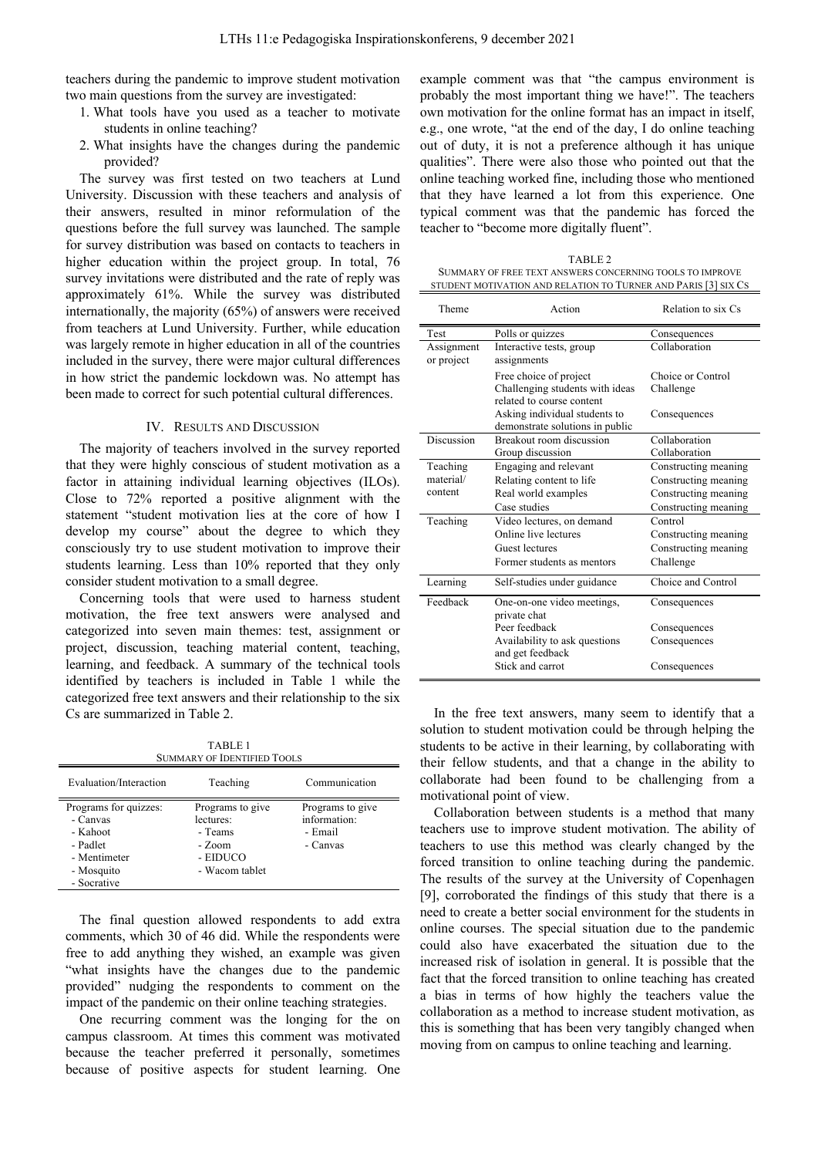teachers during the pandemic to improve student motivation two main questions from the survey are investigated:

- 1. What tools have you used as a teacher to motivate students in online teaching?
- 2. What insights have the changes during the pandemic provided?

The survey was first tested on two teachers at Lund University. Discussion with these teachers and analysis of their answers, resulted in minor reformulation of the questions before the full survey was launched. The sample for survey distribution was based on contacts to teachers in higher education within the project group. In total, 76 survey invitations were distributed and the rate of reply was approximately 61%. While the survey was distributed internationally, the majority (65%) of answers were received from teachers at Lund University. Further, while education was largely remote in higher education in all of the countries included in the survey, there were major cultural differences in how strict the pandemic lockdown was. No attempt has been made to correct for such potential cultural differences.

#### IV. RESULTS AND DISCUSSION

The majority of teachers involved in the survey reported that they were highly conscious of student motivation as a factor in attaining individual learning objectives (ILOs). Close to 72% reported a positive alignment with the statement "student motivation lies at the core of how I develop my course" about the degree to which they consciously try to use student motivation to improve their students learning. Less than 10% reported that they only consider student motivation to a small degree.

Concerning tools that were used to harness student motivation, the free text answers were analysed and categorized into seven main themes: test, assignment or project, discussion, teaching material content, teaching, learning, and feedback. A summary of the technical tools identified by teachers is included in Table 1 while the categorized free text answers and their relationship to the six Cs are summarized in Table 2.

TABLE 1 SUMMARY OF IDENTIFIED TOOLS

| Evaluation/Interaction | Teaching         | Communication    |
|------------------------|------------------|------------------|
| Programs for quizzes:  | Programs to give | Programs to give |
| - Canvas               | lectures:        | information:     |
| - Kahoot               | - Teams          | - Email          |
| - Padlet               | - Zoom           | - Canvas         |
| - Mentimeter           | - EIDUCO         |                  |
| - Mosquito             | - Wacom tablet   |                  |
| - Socrative            |                  |                  |

The final question allowed respondents to add extra comments, which 30 of 46 did. While the respondents were free to add anything they wished, an example was given "what insights have the changes due to the pandemic provided" nudging the respondents to comment on the impact of the pandemic on their online teaching strategies.

One recurring comment was the longing for the on campus classroom. At times this comment was motivated because the teacher preferred it personally, sometimes because of positive aspects for student learning. One

example comment was that "the campus environment is probably the most important thing we have!". The teachers own motivation for the online format has an impact in itself, e.g., one wrote, "at the end of the day, I do online teaching out of duty, it is not a preference although it has unique qualities". There were also those who pointed out that the online teaching worked fine, including those who mentioned that they have learned a lot from this experience. One typical comment was that the pandemic has forced the teacher to "become more digitally fluent".

TABLE 2 SUMMARY OF FREE TEXT ANSWERS CONCERNING TOOLS TO IMPROVE STUDENT MOTIVATION AND RELATION TO TURNER AND PARIS [3] SIX CS

| Theme                    | Action                                     | Relation to six Cs   |
|--------------------------|--------------------------------------------|----------------------|
| Test                     | Polls or quizzes                           | Consequences         |
| Assignment<br>or project | Interactive tests, group<br>assignments    | Collaboration        |
|                          | Free choice of project                     | Choice or Control    |
|                          | Challenging students with ideas            | Challenge            |
|                          | related to course content                  |                      |
|                          | Asking individual students to              | Consequences         |
|                          | demonstrate solutions in public            |                      |
| Discussion               | Breakout room discussion                   | Collaboration        |
|                          | Group discussion                           | Collaboration        |
| Teaching                 | Engaging and relevant                      | Constructing meaning |
| material/                | Relating content to life                   | Constructing meaning |
| content                  | Real world examples                        | Constructing meaning |
|                          | Case studies                               | Constructing meaning |
| Teaching                 | Video lectures, on demand                  | Control              |
|                          | Online live lectures                       | Constructing meaning |
|                          | Guest lectures                             | Constructing meaning |
|                          | Former students as mentors                 | Challenge            |
| Learning                 | Self-studies under guidance                | Choice and Control   |
| Feedback                 | One-on-one video meetings,<br>private chat | Consequences         |
|                          | Peer feedback                              | Consequences         |
|                          | Availability to ask questions              | Consequences         |
|                          | and get feedback                           |                      |
|                          | Stick and carrot                           | Consequences         |

In the free text answers, many seem to identify that a solution to student motivation could be through helping the students to be active in their learning, by collaborating with their fellow students, and that a change in the ability to collaborate had been found to be challenging from a motivational point of view.

Collaboration between students is a method that many teachers use to improve student motivation. The ability of teachers to use this method was clearly changed by the forced transition to online teaching during the pandemic. The results of the survey at the University of Copenhagen [9], corroborated the findings of this study that there is a need to create a better social environment for the students in online courses. The special situation due to the pandemic could also have exacerbated the situation due to the increased risk of isolation in general. It is possible that the fact that the forced transition to online teaching has created a bias in terms of how highly the teachers value the collaboration as a method to increase student motivation, as this is something that has been very tangibly changed when moving from on campus to online teaching and learning.